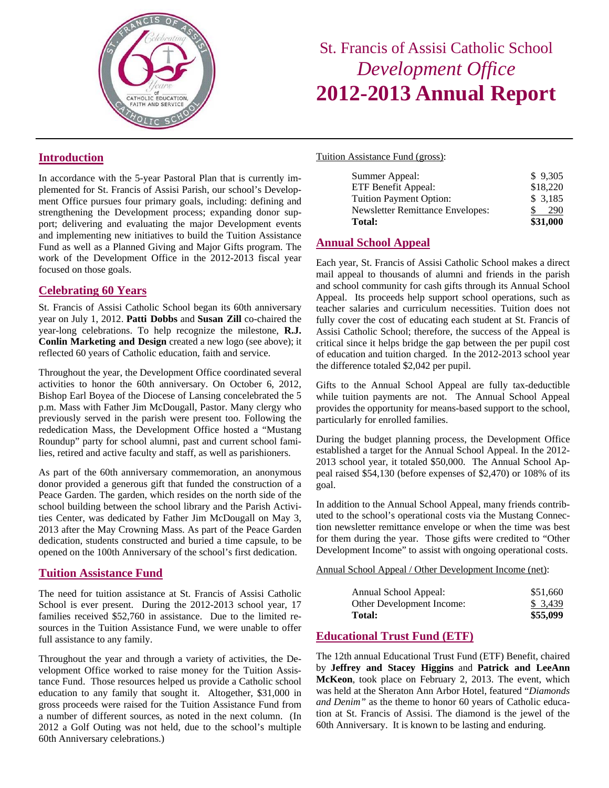

# St. Francis of Assisi Catholic School *Development Office*  **2012-2013 Annual Report**

Tuition Assistance Fund (gross):

| Summer Appeal:                          | \$9,305  |
|-----------------------------------------|----------|
| ETF Benefit Appeal:                     | \$18,220 |
| <b>Tuition Payment Option:</b>          | \$3,185  |
| <b>Newsletter Remittance Envelopes:</b> | 290      |
| Total:                                  | \$31,000 |

## **Annual School Appeal**

Each year, St. Francis of Assisi Catholic School makes a direct mail appeal to thousands of alumni and friends in the parish and school community for cash gifts through its Annual School Appeal. Its proceeds help support school operations, such as teacher salaries and curriculum necessities. Tuition does not fully cover the cost of educating each student at St. Francis of Assisi Catholic School; therefore, the success of the Appeal is critical since it helps bridge the gap between the per pupil cost of education and tuition charged. In the 2012-2013 school year the difference totaled \$2,042 per pupil.

Gifts to the Annual School Appeal are fully tax-deductible while tuition payments are not. The Annual School Appeal provides the opportunity for means-based support to the school, particularly for enrolled families.

During the budget planning process, the Development Office established a target for the Annual School Appeal. In the 2012- 2013 school year, it totaled \$50,000. The Annual School Appeal raised \$54,130 (before expenses of \$2,470) or 108% of its goal.

In addition to the Annual School Appeal, many friends contributed to the school's operational costs via the Mustang Connection newsletter remittance envelope or when the time was best for them during the year. Those gifts were credited to "Other Development Income" to assist with ongoing operational costs.

Annual School Appeal / Other Development Income (net):

| <b>Total:</b>             | \$55,099 |
|---------------------------|----------|
| Other Development Income: | \$3,439  |
| Annual School Appeal:     | \$51,660 |

### **Educational Trust Fund (ETF)**

The 12th annual Educational Trust Fund (ETF) Benefit, chaired by **Jeffrey and Stacey Higgins** and **Patrick and LeeAnn McKeon**, took place on February 2, 2013. The event, which was held at the Sheraton Ann Arbor Hotel, featured "*Diamonds and Denim"* as the theme to honor 60 years of Catholic education at St. Francis of Assisi. The diamond is the jewel of the 60th Anniversary. It is known to be lasting and enduring.

## **Introduction**

In accordance with the 5-year Pastoral Plan that is currently implemented for St. Francis of Assisi Parish, our school's Development Office pursues four primary goals, including: defining and strengthening the Development process; expanding donor support; delivering and evaluating the major Development events and implementing new initiatives to build the Tuition Assistance Fund as well as a Planned Giving and Major Gifts program. The work of the Development Office in the 2012-2013 fiscal year focused on those goals.

## **Celebrating 60 Years**

St. Francis of Assisi Catholic School began its 60th anniversary year on July 1, 2012. **Patti Dobbs** and **Susan Zill** co-chaired the year-long celebrations. To help recognize the milestone, **R.J. Conlin Marketing and Design** created a new logo (see above); it reflected 60 years of Catholic education, faith and service.

Throughout the year, the Development Office coordinated several activities to honor the 60th anniversary. On October 6, 2012, Bishop Earl Boyea of the Diocese of Lansing concelebrated the 5 p.m. Mass with Father Jim McDougall, Pastor. Many clergy who previously served in the parish were present too. Following the rededication Mass, the Development Office hosted a "Mustang Roundup" party for school alumni, past and current school families, retired and active faculty and staff, as well as parishioners.

As part of the 60th anniversary commemoration, an anonymous donor provided a generous gift that funded the construction of a Peace Garden. The garden, which resides on the north side of the school building between the school library and the Parish Activities Center, was dedicated by Father Jim McDougall on May 3, 2013 after the May Crowning Mass. As part of the Peace Garden dedication, students constructed and buried a time capsule, to be opened on the 100th Anniversary of the school's first dedication.

### **Tuition Assistance Fund**

The need for tuition assistance at St. Francis of Assisi Catholic School is ever present. During the 2012-2013 school year, 17 families received \$52,760 in assistance. Due to the limited resources in the Tuition Assistance Fund, we were unable to offer full assistance to any family.

Throughout the year and through a variety of activities, the Development Office worked to raise money for the Tuition Assistance Fund. Those resources helped us provide a Catholic school education to any family that sought it. Altogether, \$31,000 in gross proceeds were raised for the Tuition Assistance Fund from a number of different sources, as noted in the next column. (In 2012 a Golf Outing was not held, due to the school's multiple 60th Anniversary celebrations.)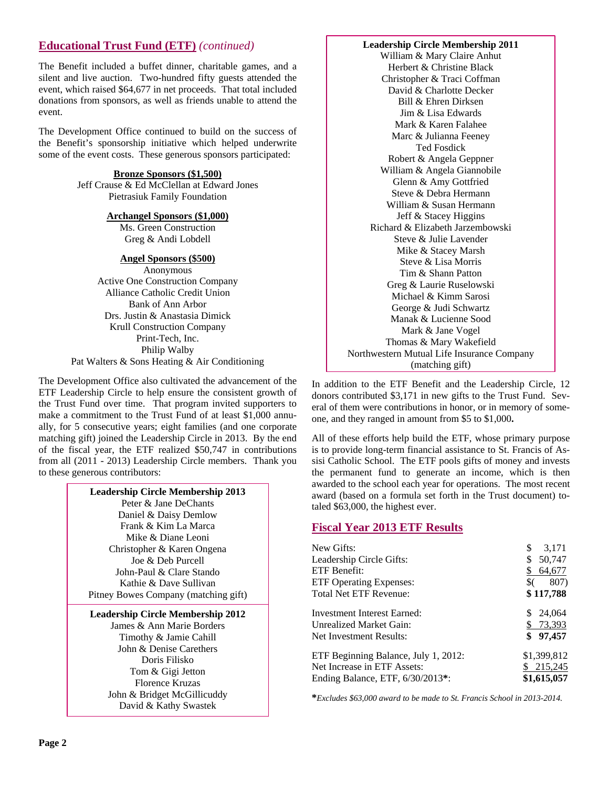## **Educational Trust Fund (ETF)** *(continued)*

The Benefit included a buffet dinner, charitable games, and a silent and live auction. Two-hundred fifty guests attended the event, which raised \$64,677 in net proceeds. That total included donations from sponsors, as well as friends unable to attend the event.

The Development Office continued to build on the success of the Benefit's sponsorship initiative which helped underwrite some of the event costs. These generous sponsors participated:

**Bronze Sponsors (\$1,500)**

Jeff Crause & Ed McClellan at Edward Jones Pietrasiuk Family Foundation

### **Archangel Sponsors (\$1,000)**

Ms. Green Construction Greg & Andi Lobdell

### **Angel Sponsors (\$500)**

Anonymous Active One Construction Company Alliance Catholic Credit Union Bank of Ann Arbor Drs. Justin & Anastasia Dimick Krull Construction Company Print-Tech, Inc. Philip Walby Pat Walters & Sons Heating & Air Conditioning

The Development Office also cultivated the advancement of the ETF Leadership Circle to help ensure the consistent growth of the Trust Fund over time. That program invited supporters to make a commitment to the Trust Fund of at least \$1,000 annually, for 5 consecutive years; eight families (and one corporate matching gift) joined the Leadership Circle in 2013. By the end of the fiscal year, the ETF realized \$50,747 in contributions from all (2011 - 2013) Leadership Circle members. Thank you to these generous contributors:

| <b>Leadership Circle Membership 2013</b> |
|------------------------------------------|
| Peter & Jane DeChants                    |
| Daniel & Daisy Demlow                    |
| Frank & Kim La Marca                     |
| Mike & Diane Leoni                       |
| Christopher & Karen Ongena               |
| Joe $\&$ Deb Purcell                     |
| John-Paul & Clare Stando                 |
| Kathie & Dave Sullivan                   |
| Pitney Bowes Company (matching gift)     |
| <b>Leadership Circle Membership 2012</b> |
| James & Ann Marie Borders                |
| Timothy & Jamie Cahill                   |
| John & Denise Carethers                  |
| Doris Filisko                            |
| Tom & Gigi Jetton                        |
| Florence Kruzas                          |

John & Bridget McGillicuddy David & Kathy Swastek

### **Leadership Circle Membership 2011**

William & Mary Claire Anhut Herbert & Christine Black Christopher & Traci Coffman David & Charlotte Decker Bill & Ehren Dirksen Jim & Lisa Edwards Mark & Karen Falahee Marc & Julianna Feeney Ted Fosdick Robert & Angela Geppner William & Angela Giannobile Glenn & Amy Gottfried Steve & Debra Hermann William & Susan Hermann Jeff & Stacey Higgins Richard & Elizabeth Jarzembowski Steve & Julie Lavender Mike & Stacey Marsh Steve & Lisa Morris Tim & Shann Patton Greg & Laurie Ruselowski Michael & Kimm Sarosi George & Judi Schwartz Manak & Lucienne Sood Mark & Jane Vogel Thomas & Mary Wakefield Northwestern Mutual Life Insurance Company (matching gift)

In addition to the ETF Benefit and the Leadership Circle, 12 donors contributed \$3,171 in new gifts to the Trust Fund. Several of them were contributions in honor, or in memory of someone, and they ranged in amount from \$5 to \$1,000**.** 

All of these efforts help build the ETF, whose primary purpose is to provide long-term financial assistance to St. Francis of Assisi Catholic School. The ETF pools gifts of money and invests the permanent fund to generate an income, which is then awarded to the school each year for operations. The most recent award (based on a formula set forth in the Trust document) totaled \$63,000, the highest ever.

### **Fiscal Year 2013 ETF Results**

| New Gifts:                           | \$<br>3,171  |
|--------------------------------------|--------------|
| Leadership Circle Gifts:             | 50,747       |
| ETF Benefit:                         | 64,677       |
| <b>ETF Operating Expenses:</b>       | 807)         |
| Total Net ETF Revenue:               | \$117,788    |
| Investment Interest Earned:          | 24,064       |
| Unrealized Market Gain:              | \$73,393     |
| Net Investment Results:              | 97,457<br>\$ |
| ETF Beginning Balance, July 1, 2012: | \$1,399,812  |
| Net Increase in ETF Assets:          | \$215,245    |
| Ending Balance, ETF, 6/30/2013*:     | \$1,615,057  |

**\****Excludes \$63,000 award to be made to St. Francis School in 2013-2014.*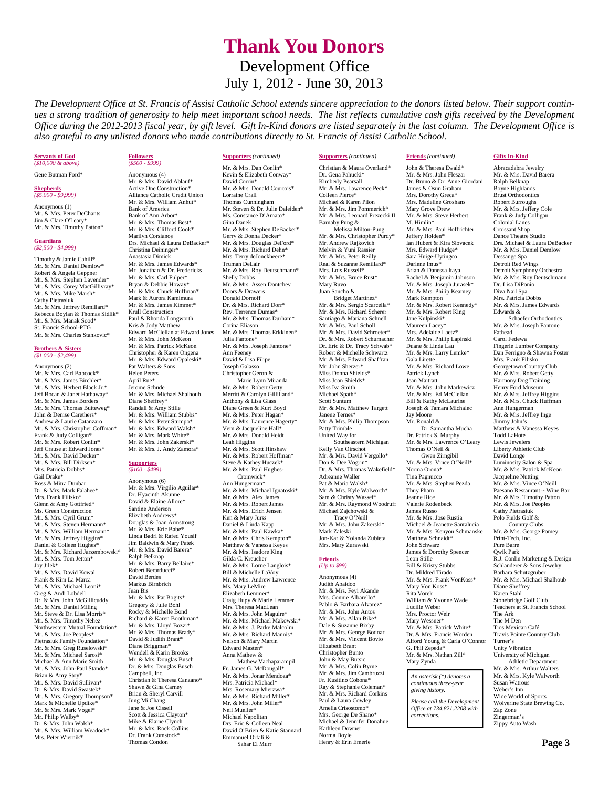# **Thank You Donors** Development Office July 1, 2012 - June 30, 2013

*The Development Office at St. Francis of Assisi Catholic School extends sincere appreciation to the donors listed below. Their support continues a strong tradition of generosity to help meet important school needs. The list reflects cumulative cash gifts received by the Development Office during the 2012-2013 fiscal year, by gift level. Gift In-Kind donors are listed separately in the last column. The Development Office is also grateful to any unlisted donors who made contributions directly to St. Francis of Assisi Catholic School.* 

**Supporters** *(continued)* 

## **Servants of God** *(\$10,000 & above)*

Gene Butman Ford\*

#### **Shepherds** *(\$5,000 - \$9,999)*

Anonymous (1) Mr. & Mrs. Peter DeChants Jim & Clare O'Leary\* Mr. & Mrs. Timothy Patton\*

## **Guardians** *(\$2,500 - \$4,999)*

Timothy & Jamie Cahill\* Mr. & Mrs. Daniel Demlow\* Robert & Angela Geppner Mr. & Mrs. Stephen Lavender\* Mr. & Mrs. Corey MacGillivray\* Mr. & Mrs. Mike Marsh\* Cathy Pietrasiuk Mr. & Mrs. Jeffrey Remillard\* Rebecca Boylan & Thomas Sidlik\* Mr. & Mrs. Manak Sood\* St. Francis School-PTG Mr. & Mrs. Charles Stankovic<sup>\*</sup>

### **Brothers & Sisters** *(\$1,000 - \$2,499)*

Anonymous (2) Mr. & Mrs. Carl Babcock\* Mr. & Mrs. James Birchler\* Mr. & Mrs. Herbert Black Ir.\* Jeff Bocan & Janet Hathaway\* Mr. & Mrs. James Borders Mr. & Mrs. Thomas Buiteweg\* John & Denise Carethers\* Andrew & Laurie Catanzaro Mr. & Mrs. Christopher Coffman\* Frank & Judy Colligan\* Mr. & Mrs. Robert Conlin<sup>\*</sup> Jeff Crause at Edward Jones\* Mr. & Mrs. David Decker\* Mr. & Mrs. Bill Dirksen\* Mrs. Patricia Dobbs\* Gail Drake\* Ross & Mitra Dunbar Dr. & Mrs. Mark Falahee\* Mrs. Frank Filisko\* Glenn & Amy Gottfried\* Ms. Green Construction Mr. & Mrs. Cyril Grum\* Mr. & Mrs. Steven Hermann\* Mr. & Mrs. William Hermann\* Mr. & Mrs. Jeffrey Higgins\* Daniel & Colleen Hughes\* Mr. & Mrs. Richard Jarzembowski<sup>\*</sup> Mr. & Mrs. Tom Jetton\* Joy Jilek\* Mr. & Mrs. David Kowal Frank & Kim La Marca Mr. & Mrs. Michael Leoni\* Greg & Andi Lobdell Dr. & Mrs. John McGillicuddy Mr. & Mrs. Daniel Miling Mr. Steve & Dr. Lisa Morris\* Mr. & Mrs. Timothy Nehez Northwestern Mutual Foundation\* Mr. & Mrs. Joe Peoples\* Pietrasiuk Family Foundation\* Mr. & Mrs. Greg Ruselowski\* Mr. & Mrs. Michael Sarosi\* Michael & Ann Marie Smith Mr. & Mrs. John-Paul Stando\* Brian & Amy Stoy\* Mr. & Mrs. David Sullivan\* Dr. & Mrs. David Swastek\* Mr. & Mrs. Gregory Thompson\* Mark & Michelle Updike<sup>\*</sup> Mr. & Mrs. Mark Vogel\* Mr. Philip Walby\* Dr. & Mrs. John Walsh\* Mr. & Mrs. William Weadock\* Mrs. Peter Wiernik\*

## **Followers** *(\$500 - \$999)*

Anonymous (4) Mr. & Mrs. David Ablauf\* Active One Construction\* Alliance Catholic Credit Union Mr. & Mrs. William Anhut\* Bank of America Bank of Ann Arbor\* Mr. & Mrs. Thomas Best\* Mr. & Mrs. Clifford Cook\* Marilyn Corsianos Drs. Michael & Laura DeBacker\* Christina Deininger\* Anastasia Dimick Mr. & Mrs. James Edwards\* Mr. Jonathan & Dr. Fredericks Mr. & Mrs. Carl Fulper\* Bryan & Debbie Howay\* Mr. & Mrs. Chuck Huffman\* Mark & Aurora Kamimura Mr. & Mrs. James Kimmet\* Krull Construction Paul & Rhonda Longworth Kris & Jody Matthew Edward McClellan at Edward Jones Mr. & Mrs. John McKeon Mr. & Mrs. Patrick McKeon Christopher & Karen Ongena Mr. & Mrs. Edward Opaleski\* Pat Walters & Sons Helen Peters April Rue\* Jerome Schude Mr. & Mrs. Michael Shalhoub Diane Sheffrey\* Randall & Amy Stille Mr. & Mrs. William Stubbs\* Mr. & Mrs. Peter Stumpo\* Mr. & Mrs. Edward Walsh\* Mr. & Mrs. Mark White\* Mr. & Mrs. John Zakerski\* Mr. & Mrs. J. Andy Zamora\*

#### **Supporters** *(\$100 - \$499)*

Anonymous (6) Mr. & Mrs. Virgilio Aguilar\* Dr. Hyacinth Akunne David & Elaine Allore\* Santine Anderson Elizabeth Andrews\* Douglas & Joan Armstrong Mr. & Mrs. Eric Babe\* Linda Badri & Rafed Yousif Jim Baldwin & Mary Patek Mr. & Mrs. David Barera\* Ralph Belknap Mr. & Mrs. Barry Bellaire\* Robert Berarducci\* David Berdes Markus Birnbrich Jean Bis Mr. & Mrs. Pat Bogits\* Gregory & Julie Bohl Rocky & Michelle Bond Richard & Karen Boothman\* Mr. & Mrs. Lloyd Bozzi\* Mr. & Mrs. Thomas Brady\* David & Judith Brant\* Diane Briggman\* Wendell & Karin Brooks Mr. & Mrs. Douglas Busch Dr. & Mrs. Douglas Busch Campbell, Inc. Christian & Theresa Canzano\* Shawn & Gina Carney Brian & Sheryl Carvill Jung Mi Chang Jane & Joe Cissell Scott & Jessica Clayton\* Mike & Elaine Clynch Mr. & Mrs. Rock Collins Dr. Frank Comstock\* Thomas Condon

**Supporters** *(continued)* Mr. & Mrs. Dan Conlin\* Kevin & Elizabeth Conway\* David Corrin\* Mr. & Mrs. Donald Courtois\* Lorraine Crall Thomas Cunningham Mr. Steven & Dr. Julie Daleiden\* Ms. Constance D'Amato\* Gina Danek Mr. & Mrs. Stephen DeBacker\* Gerry & Donna Decker\* Mr. & Mrs. Douglas DeFord\* Mr. & Mrs. Richard Dehn\* Mrs. Terry deJonckheere\* Truman DeLair Mr. & Mrs. Roy Deutschmann\* Shelly Dobbs Mr. & Mrs. Assen Dontchev Doors & Drawers Donald Dornoff Dr. & Mrs. Richard Dorr\* Rev. Terrence Dumas\* Mr. & Mrs. Thomas Durham<sup>\*</sup> Corina Eliason Mr. & Mrs. Thomas Erkkinen\* Julia Fantone\* Mr. & Mrs. Joseph Fantone\* Ann Feeney David & Lisa Filipe Joseph Galasso Christopher Geron & Marie Lynn Miranda Mr. & Mrs. Robert Getty Merritt & Carolyn Gillilland\* Anthony & Lisa Glass Diane Green & Kurt Boyd Mr. & Mrs. Peter Hagan<sup>\*</sup> Mr. & Mrs. Laurence Hagerty\* Vern & Jacqueline Hall\* Mr. & Mrs. Donald Heidt Leah Higgins Mr. & Mrs. Scott Hinshaw Mr. & Mrs. Robert Hoffman\* Steve & Kathey Huczek\* Mr. & Mrs. Paul Hughes- Cromwick\* Ann Hungerman\* Mr. & Mrs. Michael Ignatoski\* Mr. & Mrs. Alex James Mr. & Mrs. Robert James Mr. & Mrs. Erich Jensen Ken & Mary Jurss Daniel & Linda Kapp Mr. & Mrs. Paul Kawka\* Mr. & Mrs. Chris Kempton\* Matthew & Vanessa Keyes Mr. & Mrs. Isadore King Gilda C. Kreucher Mr. & Mrs. Lorne Langlois<sup>\*</sup> Bill & Michelle LaVoy Mr. & Mrs. Andrew Lawrence Ms. Mary LeMire Elizabeth Lemmer\* Craig Hupy & Marie Lemmer Mrs. Theresa MacLean Mr. & Mrs. John Maguire\* Mr. & Mrs. Michael Makowski\* Mr. & Mrs. J. Parke Malcolm Mr. & Mrs. Richard Mannis\* Nelson & Mary Martin Edward Masten\* Anna Mathew & Mathew Vachaparampil Fr. James G. McDougall\* Mr. & Mrs. Jonar Mendoza\* Mrs. Patricia Michael\* Mrs. Rosemary Mierzwa\* Mr. & Mrs. Richard Miller\* Mr. & Mrs. John Miller\* Neil Mueller\* Michael Napolitan

Drs. Eric & Colleen Neal David O'Brien & Katie Stannard Emmanuel Orfali & Sahar El Murr

Christian & Maura Overland\* Dr. Gena Pahucki\* Kimberly Pearsall Mr. & Mrs. Lawrence Peck\* Colleen Pierce\* Michael & Karen Pilon Mr. & Mrs. Jim Pommerich\* Mr. & Mrs. Leonard Prezecki II Barnaby Pung & Melissa Milton-Pung Mr. & Mrs. Christopher Purdy\* Mr. Andrew Rajkovich Melvin & Yuni Rassier Mr. & Mrs. Peter Reilly Real & Suzanne Remillard\* Mrs. Lois Russell\* Mr. & Mrs. Bruce Rust<sup>\*</sup> Mary Ruvo Juan Sancho & Bridget Martinez\* Mr. & Mrs. Sergio Scarcella\* Mr. & Mrs. Richard Scherer Santiago & Mariana Schnell Mr. & Mrs. Paul Scholl Mr. & Mrs. David Schroeter\* Dr. & Mrs. Robert Schumacher Dr. Eric & Dr. Tracy Schwab\* Robert & Michelle Schwartz Mr. & Mrs. Edward Shaffran Mr. John Sherzer\* Miss Donna Shields\* Miss Joan Shields\* Miss Iva Smith Michael Spath\* Scott Suntum Mr. & Mrs. Matthew Targett Janene Ternes\* Mr. & Mrs. Philip Thompson Patty Trimble United Way for Southeastern Michigan Kelly Van Oirschot Mr. & Mrs. David Vergollo\* Don & Dee Vogrin\* Dr. & Mrs. Thomas Wakefield\* Adreanne Waller Pat & Maria Walsh\* Mr. & Mrs. Kyle Walworth\* Sam & Christy Wassef\* Mr. & Mrs. Raymond Woodruff Michael Zajchowski & Tracy O'Neill Mr. & Mrs. John Zakerski\* Mark Zaleski Jon-Kar & Yolanda Zubieta Mrs. Mary Zurawski **Friends** *(Up to \$99)*  Anonymous (4)

Judith Abaidoo Mr. & Mrs. Feyi Akande Mrs. Connie Albarello\* Pablo & Barbara Alvarez\* Mr. & Mrs. John Antos Mr. & Mrs. Allan Bike\* Dale & Suzanne Bixby Mr. & Mrs. George Bodnar Mr. & Mrs. Vincent Bovio Elizabeth Brant Christopher Bunto John & May Butsic Mr. & Mrs. Colin Byrne Mr. & Mrs. Jim Cambruzzi Fr. Kusitino Cobona\* Ray & Stephanie Coleman\* Mr. & Mrs. Richard Corkins Paul & Laura Cowley Amelia Crisostomo\* Mrs. George De Shano\* Michael & Jennifer Donahue Kathleen Downer Norma Doyle Henry & Erin Emerle

### **Friends** *(continued)*

John & Theresa Ewald\* Mr. & Mrs. John Fleszar Dr. Bruno & Dr. Anne Giordani James & Osun Graham Mrs. Dorothy Greca<sup>\*</sup> Mrs. Madeline Groshans Mary Grove Drew Mr. & Mrs. Steve Herbert M. Himlin\* Mr. & Mrs. Paul Hoffrichter Jeffery Holden\* Ian Hubert & Kira Slovacek Mrs. Edward Hudge\* Sara Huige-Uytingco Darlene Imus\* Brian & Danessa Itaya Rachel & Benjamin Johnson Mr. & Mrs. Joseph Jurasek<sup>\*</sup> Mr. & Mrs. Philip Kearney Mark Kempton<br>Mr. & Mrs. Robert Kennedy\* Mr. & Mrs. Robert King Jane Kulpinski\* Maureen Lacey\* Mrs. Adelaide Laetz<sup>\*</sup> Mr. & Mrs. Philip Lapinski Duane & Linda Lau Mr. & Mrs. Larry Lemke\* Gala Lirette Mr. & Mrs. Richard Lowe Patrick Lynch Jean Maitratt Mr. & Mrs. John Markewicz Mr. & Mrs. Ed McClellan Bill & Kathy McLaurine Joseph & Tamara Michalec Jay Moore Mr. Ronald & Dr. Samantha Mucha Dr. Patrick S. Murphy Mr. & Mrs. Lawrence O'Leary Thomas O'Neil & Gwen Zirngibil Mr. & Mrs. Vince O'Neill\* Norma Orona\* Tina Pagnucco Mr. & Mrs. Stephen Pezda Thuy Pham Jeanne Rice Valerie Rodenbeck James Russo Mr. & Mrs. Jose Rustia Michael & Jeanette Santalucia Mr. & Mrs. Kenyon Schmanske Matthew Schnaidt\* John Schwarz James & Dorothy Spencer Leon Stille Bill & Kristy Stubbs Dr. Mildred Tirado Mr. & Mrs. Frank VonKoss\* Mary Von Koss\* Rita Vorek William & Yvonne Wade Lucille Weber Mrs. Proctor Weir Mary Wessner\* Mr. & Mrs. Patrick White\* Dr. & Mrs. Francis Worden Alford Young & Carla O'Connor G. Phil Zepeda\* Mr. & Mrs. Nathan Zill\* Mary Zynda *An asterisk (\*) denotes a continuous three-year* 

*giving history.* 

*corrections.* 

*Please call the Development Office at 734.821.2208 with* 

**Gifts In-Kind**

Abracadabra Jewelry Mr. & Mrs. David Barera Ralph Belknap Boyne Highlands Brust Orthodontics Robert Burroughs Mr. & Mrs. Jeffery Cole Frank & Judy Colligan Colonial Lanes Croissant Shop Dance Theatre Studio Drs. Michael & Laura DeBacker Mr. & Mrs. Daniel Demlow Dessange Spa Detroit Red Wings Detroit Symphony Orchestra Mr. & Mrs. Roy Deutschmann Dr. Lisa DiPonio Diva Nail Spa Mrs. Patricia Dobbs Mr. & Mrs. James Edwards Edwards & Schaefer Orthodontics Mr. & Mrs. Joseph Fantone Fathead Carol Fedewa Fingerle Lumber Company Dan Ferrigno & Shawna Foster Mrs. Frank Filisko Georgetown Country Club Mr. & Mrs. Robert Getty Harmony Dog Training Henry Ford Museum Mr. & Mrs. Jeffrey Higgins Mr. & Mrs. Chuck Huffman Ann Hungerman Mr. & Mrs. Jeffrey Inge Jimmy John's Matthew & Vanessa Keyes Todd LaHote Lewis Jewelers Liberty Athletic Club David Longe Luminosity Salon & Spa Mr. & Mrs. Patrick McKeon Jacqueline Nutting Mr. & Mrs. Vince O'Neill Paesano Restaurant ~ Wine Bar Mr. & Mrs. Timothy Patton Mr. & Mrs. Joe Peoples Cathy Pietrasiuk Polo Fields Golf & Country Clubs Mr. & Mrs. George Pomey Print-Tech, Inc. Pure Barre Qwik Park R.J. Conlin Marketing & Design Schlanderer & Sons Jewelry Barbara Schutzgruber Mr. & Mrs. Michael Shalhoub Diane Sheffrey Karen Stahl Stonebridge Golf Club Teachers at St. Francis School The Ark The M Den Tios Mexican Café Travis Pointe Country Club Turner's Unity Vibration University of Michigan Athletic Department Mr. & Mrs. Arthur Walters Mr. & Mrs. Kyle Walworth Susan Watrous Weber's Inn Wide World of Sports Wolverine State Brewing Co. Zap Zone Zingerman's Zippy Auto Wash